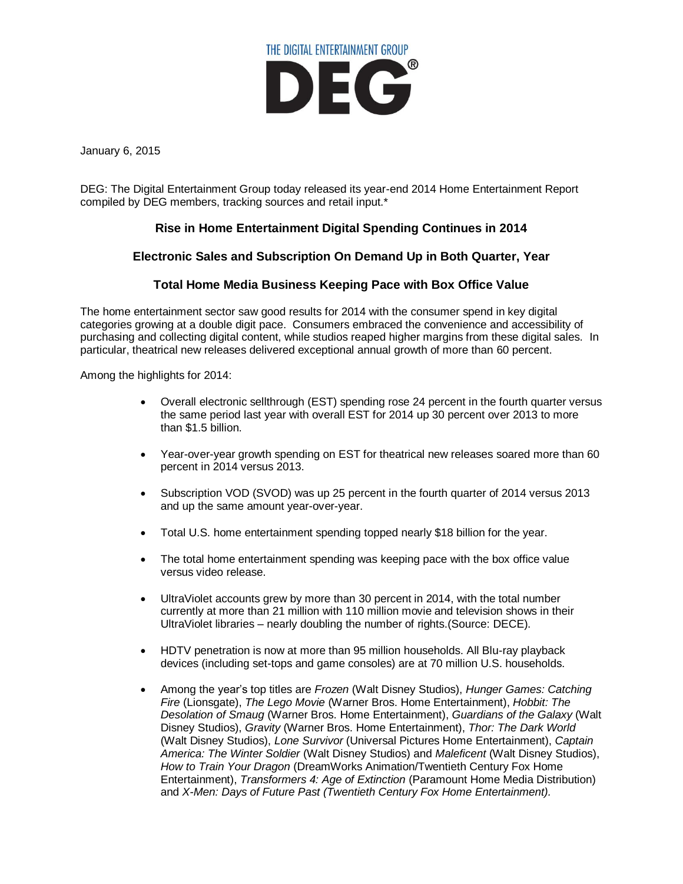

January 6, 2015

DEG: The Digital Entertainment Group today released its year-end 2014 Home Entertainment Report compiled by DEG members, tracking sources and retail input.\*

## **Rise in Home Entertainment Digital Spending Continues in 2014**

#### **Electronic Sales and Subscription On Demand Up in Both Quarter, Year**

### **Total Home Media Business Keeping Pace with Box Office Value**

The home entertainment sector saw good results for 2014 with the consumer spend in key digital categories growing at a double digit pace. Consumers embraced the convenience and accessibility of purchasing and collecting digital content, while studios reaped higher margins from these digital sales. In particular, theatrical new releases delivered exceptional annual growth of more than 60 percent.

Among the highlights for 2014:

- Overall electronic sellthrough (EST) spending rose 24 percent in the fourth quarter versus the same period last year with overall EST for 2014 up 30 percent over 2013 to more than \$1.5 billion.
- Year-over-year growth spending on EST for theatrical new releases soared more than 60 percent in 2014 versus 2013.
- Subscription VOD (SVOD) was up 25 percent in the fourth quarter of 2014 versus 2013 and up the same amount year-over-year.
- Total U.S. home entertainment spending topped nearly \$18 billion for the year.
- The total home entertainment spending was keeping pace with the box office value versus video release.
- UltraViolet accounts grew by more than 30 percent in 2014, with the total number currently at more than 21 million with 110 million movie and television shows in their UltraViolet libraries – nearly doubling the number of rights.(Source: DECE).
- HDTV penetration is now at more than 95 million households. All Blu-ray playback devices (including set-tops and game consoles) are at 70 million U.S. households.
- Among the year's top titles are *Frozen* (Walt Disney Studios), *Hunger Games: Catching Fire* (Lionsgate), *The Lego Movie* (Warner Bros. Home Entertainment), *Hobbit: The Desolation of Smaug* (Warner Bros. Home Entertainment), *Guardians of the Galaxy* (Walt Disney Studios), *Gravity* (Warner Bros. Home Entertainment), *Thor: The Dark World* (Walt Disney Studios), *Lone Survivor* (Universal Pictures Home Entertainment), *Captain America: The Winter Soldier* (Walt Disney Studios) and *Maleficent* (Walt Disney Studios), *How to Train Your Dragon* (DreamWorks Animation/Twentieth Century Fox Home Entertainment), *Transformers 4: Age of Extinction* (Paramount Home Media Distribution) and *X-Men: Days of Future Past (Twentieth Century Fox Home Entertainment).*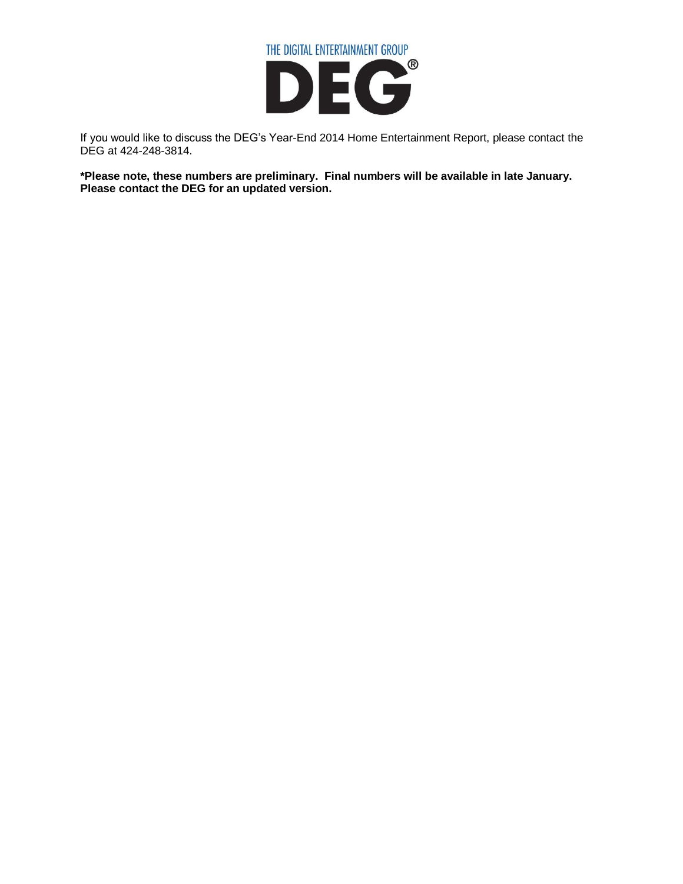

If you would like to discuss the DEG's Year-End 2014 Home Entertainment Report, please contact the DEG at 424-248-3814.

**\*Please note, these numbers are preliminary. Final numbers will be available in late January. Please contact the DEG for an updated version.**